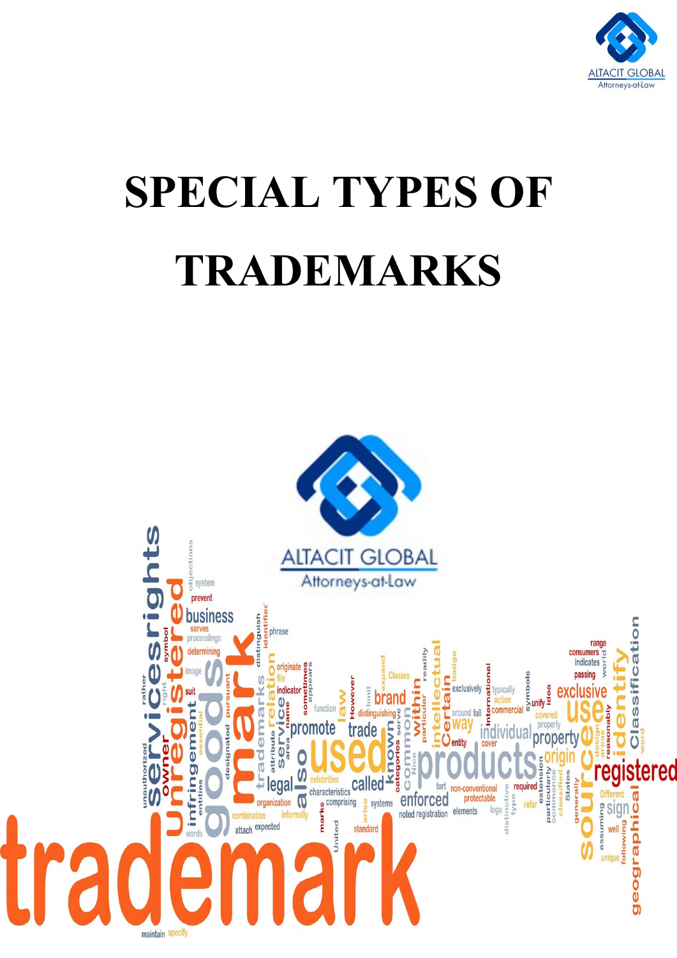

# **SPECIAL TYPES OF TRADEMARKS**

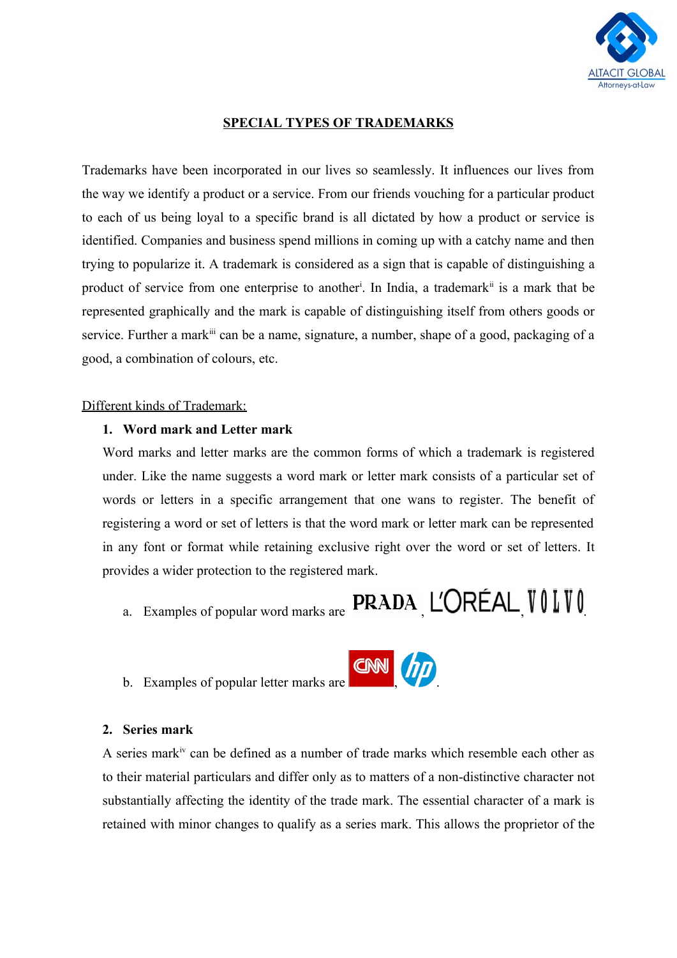

## **SPECIAL TYPES OF TRADEMARKS**

Trademarks have been incorporated in our lives so seamlessly. It influences our lives from the way we identify a product or a service. From our friends vouching for a particular product to each of us being loyal to a specific brand is all dictated by how a product or service is identified. Companies and business spend millions in coming up with a catchy name and then trying to popularize it. A trademark is considered as a sign that is capable of distinguishing a product of service from one enterprise to another<sup>i</sup>. In India, a trademark<sup>ii</sup> is a mark that be represented graphically and the mark is capable of distinguishing itself from others goods or service. Further a mark<sup>iii</sup> can be a name, signature, a number, shape of a good, packaging of a good, a combination of colours, etc.

#### Different kinds of Trademark:

#### **1. Word mark and Letter mark**

Word marks and letter marks are the common forms of which a trademark is registered under. Like the name suggests a word mark or letter mark consists of a particular set of words or letters in a specific arrangement that one wans to register. The benefit of registering a word or set of letters is that the word mark or letter mark can be represented in any font or format while retaining exclusive right over the word or set of letters. It provides a wider protection to the registered mark.

- a. Examples of popular word marks are  $\sf PRADA$ , L'ORÉAL VOIVO
- b. Examples of popular letter marks are

#### **2. Series mark**

A series markiv can be defined as a number of trade marks which resemble each other as to their material particulars and differ only as to matters of a non-distinctive character not substantially affecting the identity of the trade mark. The essential character of a mark is retained with minor changes to qualify as a series mark. This allows the proprietor of the

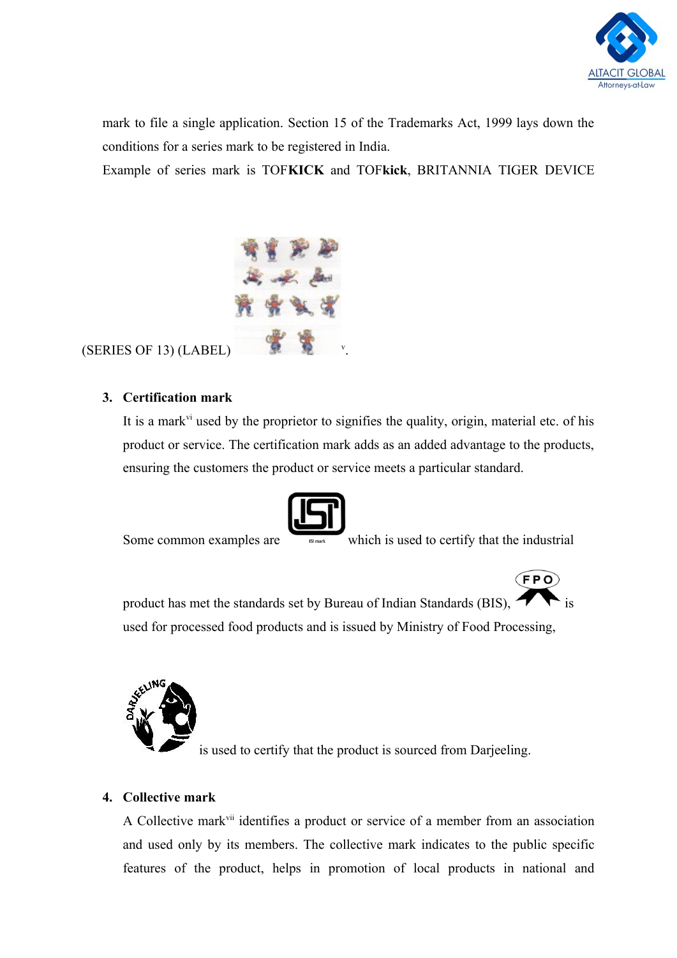

mark to file a single application. Section 15 of the Trademarks Act, 1999 lays down the conditions for a series mark to be registered in India.

Example of series mark is TOF**KICK** and TOF**kick**, BRITANNIA TIGER DEVICE



# (SERIES OF 13) (LABEL)

# **3. Certification mark**

It is a mark<sup>vi</sup> used by the proprietor to signifies the quality, origin, material etc. of his product or service. The certification mark adds as an added advantage to the products, ensuring the customers the product or service meets a particular standard.



Some common examples are which is used to certify that the industrial

 $(FPO)$ 

product has met the standards set by Bureau of Indian Standards (BIS),  $\bullet$  is used for processed food products and is issued by Ministry of Food Processing,



is used to certify that the product is sourced from Darjeeling.

# **4. Collective mark**

A Collective markvii identifies a product or service of a member from an association and used only by its members. The collective mark indicates to the public specific features of the product, helps in promotion of local products in national and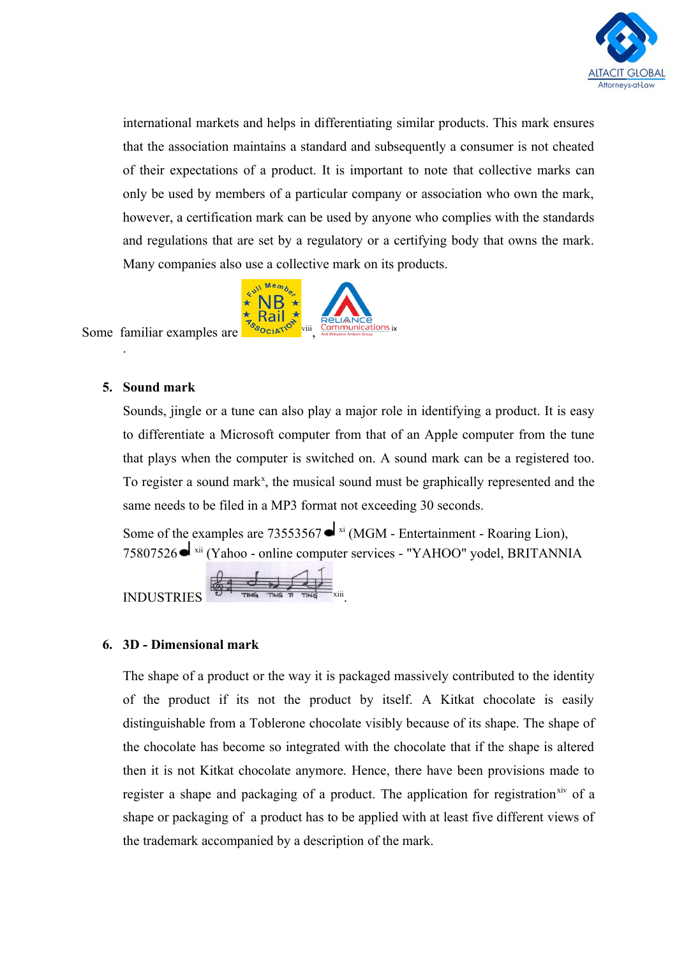

international markets and helps in differentiating similar products. This mark ensures that the association maintains a standard and subsequently a consumer is not cheated of their expectations of a product. It is important to note that collective marks can only be used by members of a particular company or association who own the mark, however, a certification mark can be used by anyone who complies with the standards and regulations that are set by a regulatory or a certifying body that owns the mark. Many companies also use a collective mark on its products.



### Some familiar examples are

### **5. Sound mark**

.

Sounds, jingle or a tune can also play a major role in identifying a product. It is easy to differentiate a Microsoft computer from that of an Apple computer from the tune that plays when the computer is switched on. A sound mark can be a registered too. To register a sound mark<sup>x</sup>, the musical sound must be graphically represented and the same needs to be filed in a MP3 format not exceeding 30 seconds.

Some of the examples are [73553567](https://www.uspto.gov/trademarks/soundmarks/73553567.mp3)  $\triangleleft$  xi (MGM - Entertainment - Roaring Lion), 75807526 xii (Yahoo - online computer services - "YAHOO" yodel, BRITANNIA

$$
\frac{1}{\sqrt{3}}\frac{1}{\sqrt{3}}\frac{1}{\sqrt{3}}\frac{1}{\sqrt{3}}\frac{1}{\sqrt{3}}\frac{1}{\sqrt{3}}\frac{1}{\sqrt{3}}\frac{1}{\sqrt{3}}\frac{1}{\sqrt{3}}\frac{1}{\sqrt{3}}\frac{1}{\sqrt{3}}\frac{1}{\sqrt{3}}\frac{1}{\sqrt{3}}\frac{1}{\sqrt{3}}\frac{1}{\sqrt{3}}\frac{1}{\sqrt{3}}\frac{1}{\sqrt{3}}\frac{1}{\sqrt{3}}\frac{1}{\sqrt{3}}\frac{1}{\sqrt{3}}\frac{1}{\sqrt{3}}\frac{1}{\sqrt{3}}\frac{1}{\sqrt{3}}\frac{1}{\sqrt{3}}\frac{1}{\sqrt{3}}\frac{1}{\sqrt{3}}\frac{1}{\sqrt{3}}\frac{1}{\sqrt{3}}\frac{1}{\sqrt{3}}\frac{1}{\sqrt{3}}\frac{1}{\sqrt{3}}\frac{1}{\sqrt{3}}\frac{1}{\sqrt{3}}\frac{1}{\sqrt{3}}\frac{1}{\sqrt{3}}\frac{1}{\sqrt{3}}\frac{1}{\sqrt{3}}\frac{1}{\sqrt{3}}\frac{1}{\sqrt{3}}\frac{1}{\sqrt{3}}\frac{1}{\sqrt{3}}\frac{1}{\sqrt{3}}\frac{1}{\sqrt{3}}\frac{1}{\sqrt{3}}\frac{1}{\sqrt{3}}\frac{1}{\sqrt{3}}\frac{1}{\sqrt{3}}\frac{1}{\sqrt{3}}\frac{1}{\sqrt{3}}\frac{1}{\sqrt{3}}\frac{1}{\sqrt{3}}\frac{1}{\sqrt{3}}\frac{1}{\sqrt{3}}\frac{1}{\sqrt{3}}\frac{1}{\sqrt{3}}\frac{1}{\sqrt{3}}\frac{1}{\sqrt{3}}\frac{1}{\sqrt{3}}\frac{1}{\sqrt{3}}\frac{1}{\sqrt{3}}\frac{1}{\sqrt{3}}\frac{1}{\sqrt{3}}\frac{1}{\sqrt{3}}\frac{1}{\sqrt{3}}\frac{1}{\sqrt{3}}\frac{1}{\sqrt{3}}\frac{1}{\sqrt{3}}\frac{1}{\sqrt{3}}\frac{1}{\sqrt{3}}\frac{1}{\sqrt{3}}\frac{1}{\sqrt{3}}\frac{1}{\sqrt{3}}\frac{1}{\sqrt{3}}\frac{1}{\sqrt{3}}\frac{1}{\sqrt{3}}\frac{1}{\sqrt{3}}
$$

**INDUSTRIE** 

## **6. 3D - Dimensional mark**

The shape of a product or the way it is packaged massively contributed to the identity of the product if its not the product by itself. A Kitkat chocolate is easily distinguishable from a Toblerone chocolate visibly because of its shape. The shape of the chocolate has become so integrated with the chocolate that if the shape is altered then it is not Kitkat chocolate anymore. Hence, there have been provisions made to register a shape and packaging of a product. The application for registration<sup>xiv</sup> of a shape or packaging of a product has to be applied with at least five different views of the trademark accompanied by a description of the mark.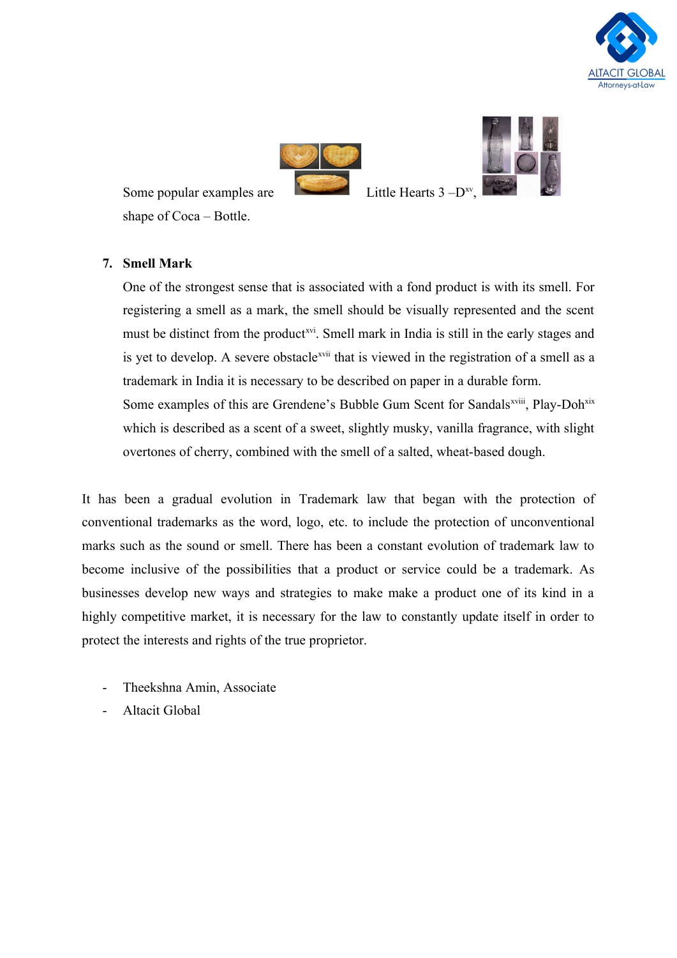





Some popular examples are shape of Coca – Bottle.

Little Hearts  $3-D^{xy}$ .

# **7. Smell Mark**

One of the strongest sense that is associated with a fond product is with its smell. For registering a smell as a mark, the smell should be visually represented and the scent must be distinct from the product<sup>xvi</sup>. Smell mark in India is still in the early stages and is yet to develop. A severe obstacle<sup>xvii</sup> that is viewed in the registration of a smell as a trademark in India it is necessary to be described on paper in a durable form. Some examples of this are Grendene's Bubble Gum Scent for Sandals<sup>xviii</sup>, Play-Doh<sup>xix</sup> which is described as a scent of a sweet, slightly musky, vanilla fragrance, with slight overtones of cherry, combined with the smell of a salted, wheat-based dough.

It has been a gradual evolution in Trademark law that began with the protection of conventional trademarks as the word, logo, etc. to include the protection of unconventional marks such as the sound or smell. There has been a constant evolution of trademark law to become inclusive of the possibilities that a product or service could be a trademark. As businesses develop new ways and strategies to make make a product one of its kind in a highly competitive market, it is necessary for the law to constantly update itself in order to protect the interests and rights of the true proprietor.

- Theekshna Amin, Associate
- Altacit Global